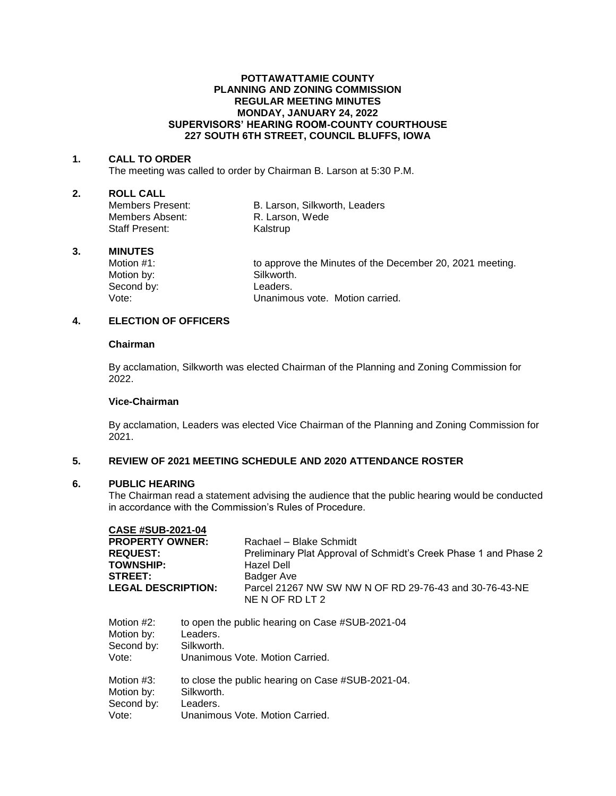#### **POTTAWATTAMIE COUNTY PLANNING AND ZONING COMMISSION REGULAR MEETING MINUTES MONDAY, JANUARY 24, 2022 SUPERVISORS' HEARING ROOM-COUNTY COURTHOUSE 227 SOUTH 6TH STREET, COUNCIL BLUFFS, IOWA**

#### **1. CALL TO ORDER**

The meeting was called to order by Chairman B. Larson at 5:30 P.M.

# **2. ROLL CALL**

Members Absent: R. Larson, Wede Staff Present: Kalstrup

B. Larson, Silkworth, Leaders

#### **3. MINUTES**

Motion by: Silkworth. Second by: Leaders.<br>Vote: Unanimo

Motion #1: to approve the Minutes of the December 20, 2021 meeting. Unanimous vote. Motion carried.

# **4. ELECTION OF OFFICERS**

## **Chairman**

By acclamation, Silkworth was elected Chairman of the Planning and Zoning Commission for 2022.

## **Vice-Chairman**

By acclamation, Leaders was elected Vice Chairman of the Planning and Zoning Commission for 2021.

## **5. REVIEW OF 2021 MEETING SCHEDULE AND 2020 ATTENDANCE ROSTER**

## **6. PUBLIC HEARING**

The Chairman read a statement advising the audience that the public hearing would be conducted in accordance with the Commission's Rules of Procedure.

## **CASE #SUB-2021-04**

| <b>PROPERTY OWNER:</b><br><b>REQUEST:</b><br><b>TOWNSHIP:</b><br>STREET:<br><b>LEGAL DESCRIPTION:</b> |                                 | Rachael - Blake Schmidt                                                                      |                                                                           |                                                             |  |
|-------------------------------------------------------------------------------------------------------|---------------------------------|----------------------------------------------------------------------------------------------|---------------------------------------------------------------------------|-------------------------------------------------------------|--|
|                                                                                                       |                                 | Preliminary Plat Approval of Schmidt's Creek Phase 1 and Phase 2<br>Hazel Dell<br>Badger Ave |                                                                           |                                                             |  |
|                                                                                                       |                                 |                                                                                              | Parcel 21267 NW SW NW N OF RD 29-76-43 and 30-76-43-NE<br>NE N OF RD LT 2 |                                                             |  |
|                                                                                                       |                                 |                                                                                              | Motion #2:<br>Motion by:                                                  | to open the public hearing on Case #SUB-2021-04<br>Leaders. |  |
|                                                                                                       |                                 | Second by:                                                                                   | Silkworth.                                                                |                                                             |  |
| Vote:                                                                                                 | Unanimous Vote, Motion Carried. |                                                                                              |                                                                           |                                                             |  |
| Motion #3:                                                                                            |                                 | to close the public hearing on Case #SUB-2021-04.                                            |                                                                           |                                                             |  |
| Motion by:                                                                                            | Silkworth.                      |                                                                                              |                                                                           |                                                             |  |
| Second by:                                                                                            | eaders                          |                                                                                              |                                                                           |                                                             |  |

econa by: Vote: Unanimous Vote. Motion Carried.